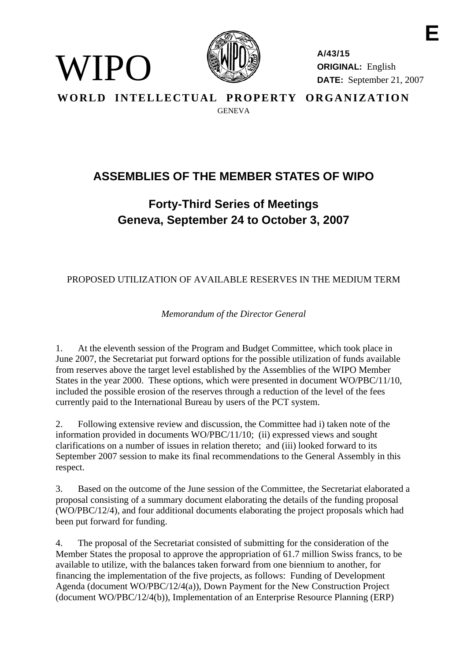

WIPO)

**A/43/15 ORIGINAL:** English **DATE:** September 21, 2007

**E** 

**WORLD INTELLECTUAL PROPERTY ORGANIZATION GENEVA** 

## **ASSEMBLIES OF THE MEMBER STATES OF WIPO**

## **Forty-Third Series of Meetings Geneva, September 24 to October 3, 2007**

## PROPOSED UTILIZATION OF AVAILABLE RESERVES IN THE MEDIUM TERM

*Memorandum of the Director General* 

1. At the eleventh session of the Program and Budget Committee, which took place in June 2007, the Secretariat put forward options for the possible utilization of funds available from reserves above the target level established by the Assemblies of the WIPO Member States in the year 2000. These options, which were presented in document WO/PBC/11/10, included the possible erosion of the reserves through a reduction of the level of the fees currently paid to the International Bureau by users of the PCT system.

2. Following extensive review and discussion, the Committee had i) taken note of the information provided in documents WO/PBC/11/10; (ii) expressed views and sought clarifications on a number of issues in relation thereto; and (iii) looked forward to its September 2007 session to make its final recommendations to the General Assembly in this respect.

3. Based on the outcome of the June session of the Committee, the Secretariat elaborated a proposal consisting of a summary document elaborating the details of the funding proposal (WO/PBC/12/4), and four additional documents elaborating the project proposals which had been put forward for funding.

4. The proposal of the Secretariat consisted of submitting for the consideration of the Member States the proposal to approve the appropriation of 61.7 million Swiss francs, to be available to utilize, with the balances taken forward from one biennium to another, for financing the implementation of the five projects, as follows: Funding of Development Agenda (document WO/PBC/12/4(a)), Down Payment for the New Construction Project (document WO/PBC/12/4(b)), Implementation of an Enterprise Resource Planning (ERP)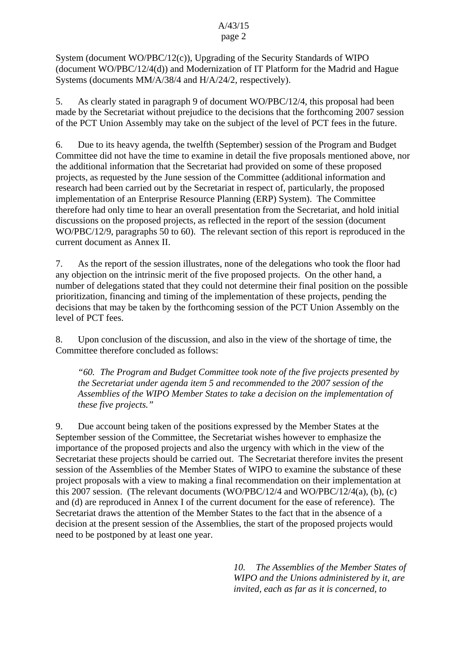## A/43/15 page 2

System (document WO/PBC/12(c)), Upgrading of the Security Standards of WIPO (document WO/PBC/12/4(d)) and Modernization of IT Platform for the Madrid and Hague Systems (documents MM/A/38/4 and H/A/24/2, respectively).

5. As clearly stated in paragraph 9 of document WO/PBC/12/4, this proposal had been made by the Secretariat without prejudice to the decisions that the forthcoming 2007 session of the PCT Union Assembly may take on the subject of the level of PCT fees in the future.

6. Due to its heavy agenda, the twelfth (September) session of the Program and Budget Committee did not have the time to examine in detail the five proposals mentioned above, nor the additional information that the Secretariat had provided on some of these proposed projects, as requested by the June session of the Committee (additional information and research had been carried out by the Secretariat in respect of, particularly, the proposed implementation of an Enterprise Resource Planning (ERP) System). The Committee therefore had only time to hear an overall presentation from the Secretariat, and hold initial discussions on the proposed projects, as reflected in the report of the session (document WO/PBC/12/9, paragraphs 50 to 60). The relevant section of this report is reproduced in the current document as Annex II.

7. As the report of the session illustrates, none of the delegations who took the floor had any objection on the intrinsic merit of the five proposed projects. On the other hand, a number of delegations stated that they could not determine their final position on the possible prioritization, financing and timing of the implementation of these projects, pending the decisions that may be taken by the forthcoming session of the PCT Union Assembly on the level of PCT fees.

8. Upon conclusion of the discussion, and also in the view of the shortage of time, the Committee therefore concluded as follows:

 *"60. The Program and Budget Committee took note of the five projects presented by the Secretariat under agenda item 5 and recommended to the 2007 session of the Assemblies of the WIPO Member States to take a decision on the implementation of these five projects."* 

9. Due account being taken of the positions expressed by the Member States at the September session of the Committee, the Secretariat wishes however to emphasize the importance of the proposed projects and also the urgency with which in the view of the Secretariat these projects should be carried out. The Secretariat therefore invites the present session of the Assemblies of the Member States of WIPO to examine the substance of these project proposals with a view to making a final recommendation on their implementation at this 2007 session. (The relevant documents (WO/PBC/12/4 and WO/PBC/12/4(a), (b), (c) and (d) are reproduced in Annex I of the current document for the ease of reference). The Secretariat draws the attention of the Member States to the fact that in the absence of a decision at the present session of the Assemblies, the start of the proposed projects would need to be postponed by at least one year.

> *10. The Assemblies of the Member States of WIPO and the Unions administered by it, are invited, each as far as it is concerned, to*